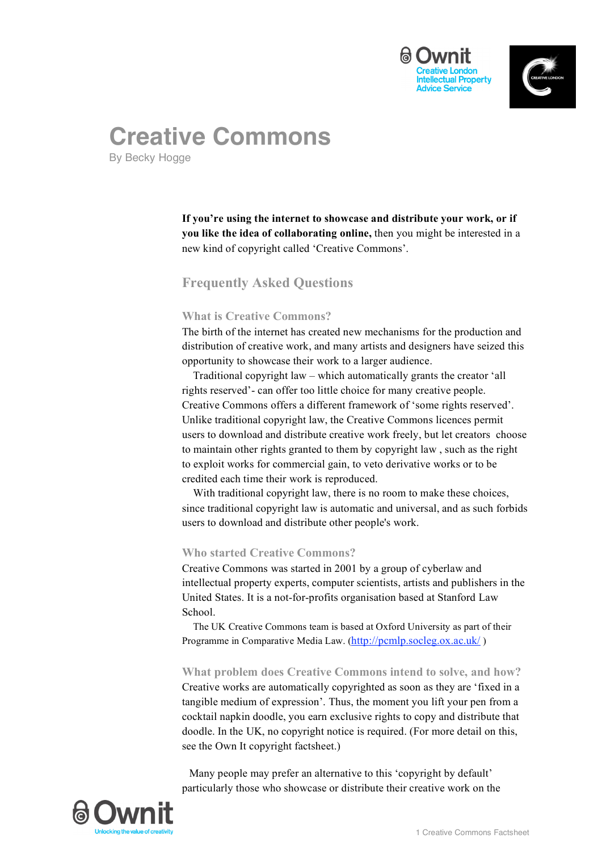



# **Creative Commons**

By Becky Hogge

**If you're using the internet to showcase and distribute your work, or if you like the idea of collaborating online,** then you might be interested in a new kind of copyright called 'Creative Commons'.

## **Frequently Asked Questions**

## **What is Creative Commons?**

The birth of the internet has created new mechanisms for the production and distribution of creative work, and many artists and designers have seized this opportunity to showcase their work to a larger audience.

Traditional copyright law – which automatically grants the creator 'all rights reserved'- can offer too little choice for many creative people. Creative Commons offers a different framework of 'some rights reserved'. Unlike traditional copyright law, the Creative Commons licences permit users to download and distribute creative work freely, but let creators choose to maintain other rights granted to them by copyright law , such as the right to exploit works for commercial gain, to veto derivative works or to be credited each time their work is reproduced.

With traditional copyright law, there is no room to make these choices, since traditional copyright law is automatic and universal, and as such forbids users to download and distribute other people's work.

## **Who started Creative Commons?**

Creative Commons was started in 2001 by a group of cyberlaw and intellectual property experts, computer scientists, artists and publishers in the United States. It is a not-for-profits organisation based at Stanford Law School.

The UK Creative Commons team is based at Oxford University as part of their Programme in Comparative Media Law. (http://pcmlp.socleg.ox.ac.uk/)

**What problem does Creative Commons intend to solve, and how?** Creative works are automatically copyrighted as soon as they are 'fixed in a tangible medium of expression'. Thus, the moment you lift your pen from a cocktail napkin doodle, you earn exclusive rights to copy and distribute that doodle. In the UK, no copyright notice is required. (For more detail on this, see the Own It copyright factsheet.)

Many people may prefer an alternative to this 'copyright by default' particularly those who showcase or distribute their creative work on the

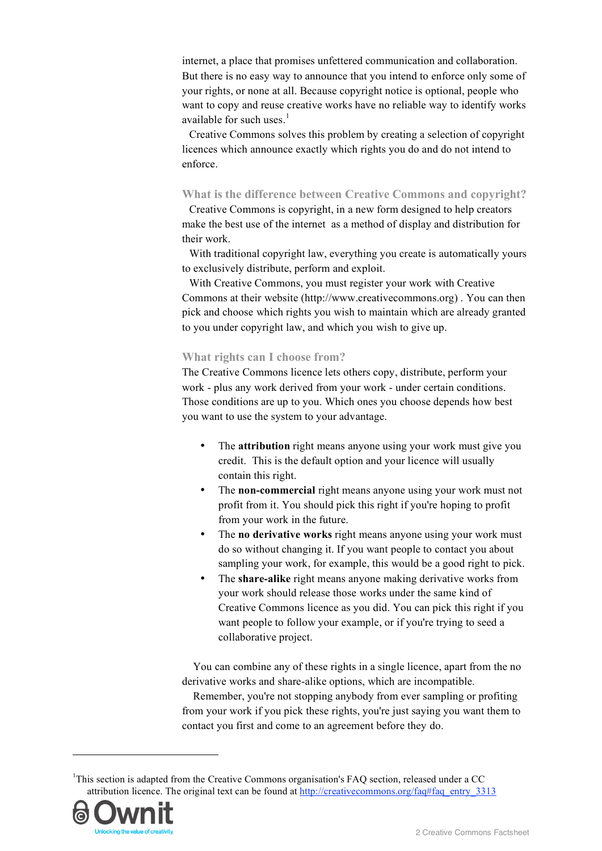internet, a place that promises unfettered communication and collaboration. But there is no easy way to announce that you intend to enforce only some of your rights, or none at all. Because copyright notice is optional, people who want to copy and reuse creative works have no reliable way to identify works available for such uses.<sup>1</sup>

Creative Commons solves this problem by creating a selection of copyright licences which announce exactly which rights you do and do not intend to enforce.

### **What is the difference between Creative Commons and copyright?**

Creative Commons is copyright, in a new form designed to help creators make the best use of the internet as a method of display and distribution for their work.

With traditional copyright law, everything you create is automatically yours to exclusively distribute, perform and exploit.

With Creative Commons, you must register your work with Creative Commons at their website (http://www.creativecommons.org) . You can then pick and choose which rights you wish to maintain which are already granted to you under copyright law, and which you wish to give up.

## **What rights can I choose from?**

The Creative Commons licence lets others copy, distribute, perform your work - plus any work derived from your work - under certain conditions. Those conditions are up to you. Which ones you choose depends how best you want to use the system to your advantage.

- The **attribution** right means anyone using your work must give you credit. This is the default option and your licence will usually contain this right.
- The **non-commercial** right means anyone using your work must not profit from it. You should pick this right if you're hoping to profit from your work in the future.
- The **no derivative works** right means anyone using your work must do so without changing it. If you want people to contact you about sampling your work, for example, this would be a good right to pick.
- The **share-alike** right means anyone making derivative works from your work should release those works under the same kind of Creative Commons licence as you did. You can pick this right if you want people to follow your example, or if you're trying to seed a collaborative project.

You can combine any of these rights in a single licence, apart from the no derivative works and share-alike options, which are incompatible.

Remember, you're not stopping anybody from ever sampling or profiting from your work if you pick these rights, you're just saying you want them to contact you first and come to an agreement before they do.

<sup>&</sup>lt;sup>1</sup>This section is adapted from the Creative Commons organisation's FAQ section, released under a CC attribution licence. The original text can be found at http://creativecommons.org/faq#faq\_entry\_3313



-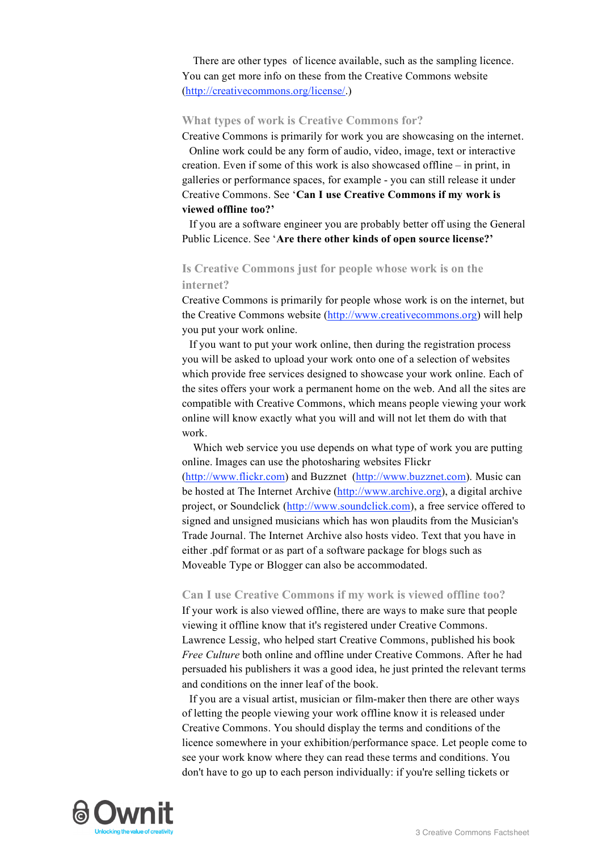There are other types of licence available, such as the sampling licence. You can get more info on these from the Creative Commons website (http://creativecommons.org/license/.)

#### **What types of work is Creative Commons for?**

Creative Commons is primarily for work you are showcasing on the internet. Online work could be any form of audio, video, image, text or interactive creation. Even if some of this work is also showcased offline – in print, in galleries or performance spaces, for example - you can still release it under Creative Commons. See '**Can I use Creative Commons if my work is viewed offline too?'**

If you are a software engineer you are probably better off using the General Public Licence. See '**Are there other kinds of open source license?'**

## **Is Creative Commons just for people whose work is on the internet?**

Creative Commons is primarily for people whose work is on the internet, but the Creative Commons website (http://www.creativecommons.org) will help you put your work online.

If you want to put your work online, then during the registration process you will be asked to upload your work onto one of a selection of websites which provide free services designed to showcase your work online. Each of the sites offers your work a permanent home on the web. And all the sites are compatible with Creative Commons, which means people viewing your work online will know exactly what you will and will not let them do with that work.

Which web service you use depends on what type of work you are putting online. Images can use the photosharing websites Flickr

(http://www.flickr.com) and Buzznet (http://www.buzznet.com). Music can be hosted at The Internet Archive (http://www.archive.org), a digital archive project, or Soundclick (http://www.soundclick.com), a free service offered to signed and unsigned musicians which has won plaudits from the Musician's Trade Journal. The Internet Archive also hosts video. Text that you have in either .pdf format or as part of a software package for blogs such as Moveable Type or Blogger can also be accommodated.

#### **Can I use Creative Commons if my work is viewed offline too?**

If your work is also viewed offline, there are ways to make sure that people viewing it offline know that it's registered under Creative Commons. Lawrence Lessig, who helped start Creative Commons, published his book *Free Culture* both online and offline under Creative Commons. After he had persuaded his publishers it was a good idea, he just printed the relevant terms and conditions on the inner leaf of the book.

If you are a visual artist, musician or film-maker then there are other ways of letting the people viewing your work offline know it is released under Creative Commons. You should display the terms and conditions of the licence somewhere in your exhibition/performance space. Let people come to see your work know where they can read these terms and conditions. You don't have to go up to each person individually: if you're selling tickets or

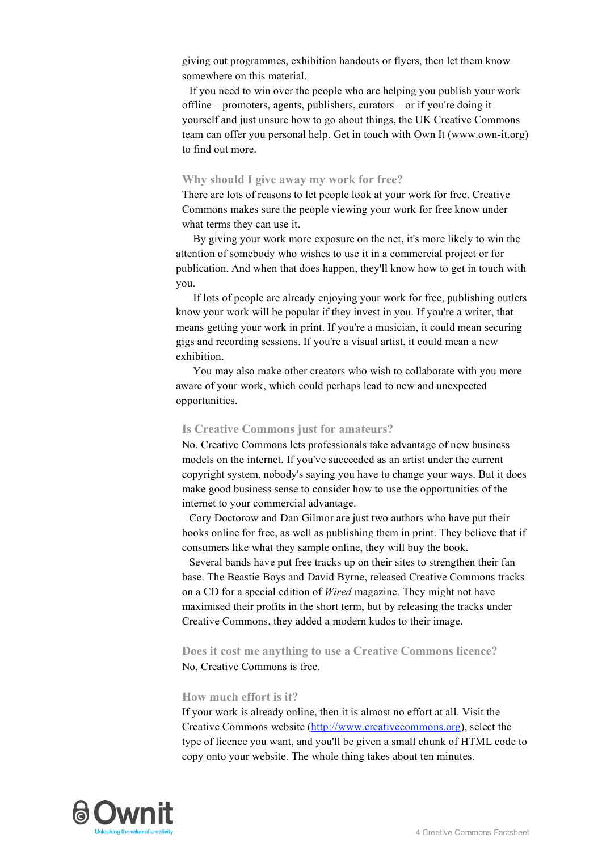giving out programmes, exhibition handouts or flyers, then let them know somewhere on this material.

If you need to win over the people who are helping you publish your work offline – promoters, agents, publishers, curators – or if you're doing it yourself and just unsure how to go about things, the UK Creative Commons team can offer you personal help. Get in touch with Own It (www.own-it.org) to find out more.

#### **Why should I give away my work for free?**

There are lots of reasons to let people look at your work for free. Creative Commons makes sure the people viewing your work for free know under what terms they can use it.

By giving your work more exposure on the net, it's more likely to win the attention of somebody who wishes to use it in a commercial project or for publication. And when that does happen, they'll know how to get in touch with you.

If lots of people are already enjoying your work for free, publishing outlets know your work will be popular if they invest in you. If you're a writer, that means getting your work in print. If you're a musician, it could mean securing gigs and recording sessions. If you're a visual artist, it could mean a new exhibition.

You may also make other creators who wish to collaborate with you more aware of your work, which could perhaps lead to new and unexpected opportunities.

#### **Is Creative Commons just for amateurs?**

No. Creative Commons lets professionals take advantage of new business models on the internet. If you've succeeded as an artist under the current copyright system, nobody's saying you have to change your ways. But it does make good business sense to consider how to use the opportunities of the internet to your commercial advantage.

Cory Doctorow and Dan Gilmor are just two authors who have put their books online for free, as well as publishing them in print. They believe that if consumers like what they sample online, they will buy the book.

Several bands have put free tracks up on their sites to strengthen their fan base. The Beastie Boys and David Byrne, released Creative Commons tracks on a CD for a special edition of *Wired* magazine. They might not have maximised their profits in the short term, but by releasing the tracks under Creative Commons, they added a modern kudos to their image.

**Does it cost me anything to use a Creative Commons licence?** No, Creative Commons is free.

#### **How much effort is it?**

If your work is already online, then it is almost no effort at all. Visit the Creative Commons website (http://www.creativecommons.org), select the type of licence you want, and you'll be given a small chunk of HTML code to copy onto your website. The whole thing takes about ten minutes.

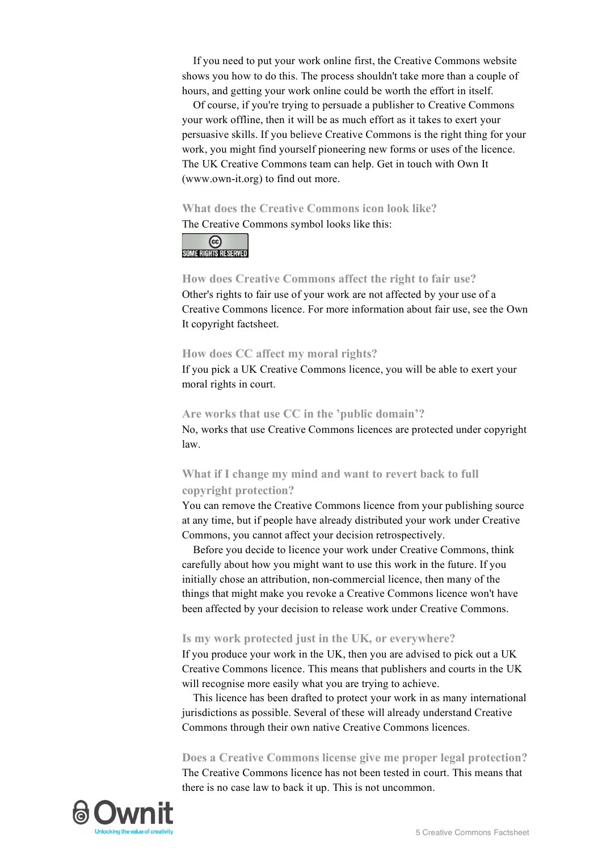If you need to put your work online first, the Creative Commons website shows you how to do this. The process shouldn't take more than a couple of hours, and getting your work online could be worth the effort in itself.

Of course, if you're trying to persuade a publisher to Creative Commons your work offline, then it will be as much effort as it takes to exert your persuasive skills. If you believe Creative Commons is the right thing for your work, you might find yourself pioneering new forms or uses of the licence. The UK Creative Commons team can help. Get in touch with Own It (www.own-it.org) to find out more.

## **What does the Creative Commons icon look like?**

The Creative Commons symbol looks like this:



## **How does Creative Commons affect the right to fair use?** Other's rights to fair use of your work are not affected by your use of a Creative Commons licence. For more information about fair use, see the Own It copyright factsheet.

## **How does CC affect my moral rights?**

If you pick a UK Creative Commons licence, you will be able to exert your moral rights in court.

## **Are works that use CC in the 'public domain'?**

No, works that use Creative Commons licences are protected under copyright law.

## **What if I change my mind and want to revert back to full copyright protection?**

You can remove the Creative Commons licence from your publishing source at any time, but if people have already distributed your work under Creative Commons, you cannot affect your decision retrospectively.

Before you decide to licence your work under Creative Commons, think carefully about how you might want to use this work in the future. If you initially chose an attribution, non-commercial licence, then many of the things that might make you revoke a Creative Commons licence won't have been affected by your decision to release work under Creative Commons.

## **Is my work protected just in the UK, or everywhere?**

If you produce your work in the UK, then you are advised to pick out a UK Creative Commons licence. This means that publishers and courts in the UK will recognise more easily what you are trying to achieve.

This licence has been drafted to protect your work in as many international jurisdictions as possible. Several of these will already understand Creative Commons through their own native Creative Commons licences.

## **Does a Creative Commons license give me proper legal protection?**

The Creative Commons licence has not been tested in court. This means that there is no case law to back it up. This is not uncommon.